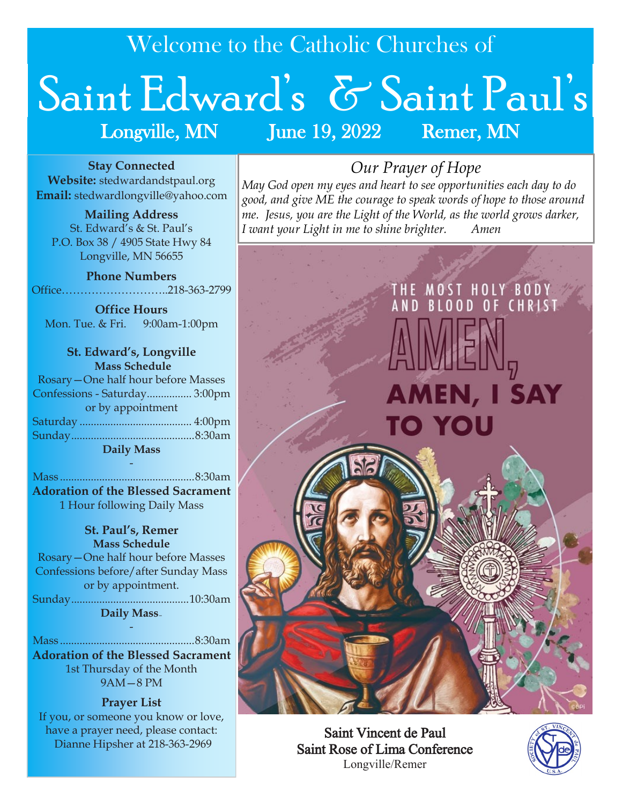Welcome to the Catholic Churches of

# Saint Edward's & Saint Paul's Longville, MN June 19, 2022 Remer, MN

**Stay Connected Website:** stedwardandstpaul.org **Email:** stedwardlongville@yahoo.com

**Mailing Address** St. Edward's & St. Paul's P.O. Box 38 / 4905 State Hwy 84 Longville, MN 56655

**Phone Numbers** Office………………………..218-363-2799

**Office Hours** Mon. Tue. & Fri. 9:00am-1:00pm

**St. Edward's, Longville Mass Schedule** Rosary—One half hour before Masses Confessions - Saturday................ 3:00pm or by appointment Saturday ........................................ 4:00pm Sunday............................................8:30am **Daily Mass**

- Mass ................................................8:30am **Adoration of the Blessed Sacrament** 1 Hour following Daily Mass

#### **St. Paul's, Remer Mass Schedule** Rosary—One half hour before Masses Confessions before/after Sunday Mass or by appointment. Sunday..........................................10:30am **Daily Mass—**

Mass ................................................8:30am **Adoration of the Blessed Sacrament**  1st Thursday of the Month 9AM—8 PM

-

**Prayer List** If you, or someone you know or love, have a prayer need, please contact: Dianne Hipsher at 218-363-2969

# *Our Prayer of Hope*

*May God open my eyes and heart to see opportunities each day to do good, and give ME the courage to speak words of hope to those around me. Jesus, you are the Light of the World, as the world grows darker, I want your Light in me to shine brighter. Amen*



Saint Vincent de Paul Saint Rose of Lima Conference Longville/Remer

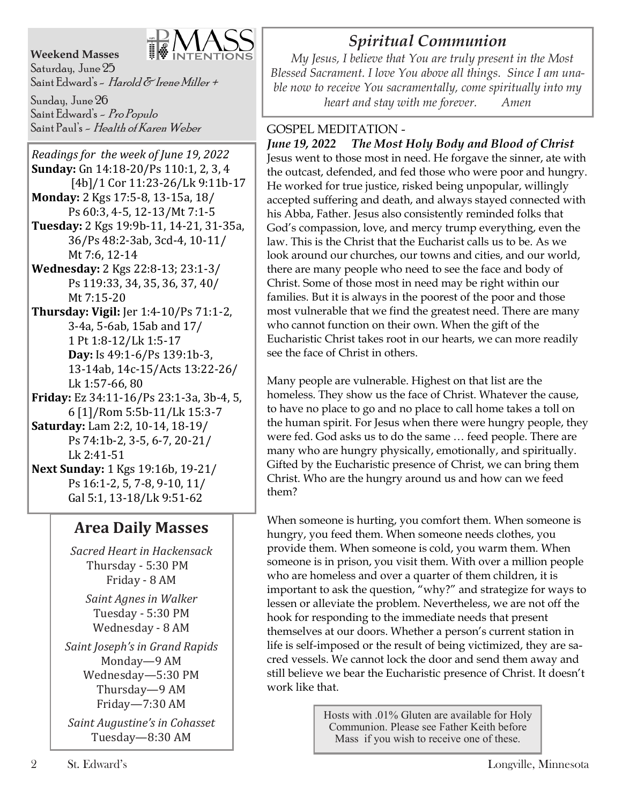#### **Weekend Masses**



Saturday, June 25 Saint Edward's - *Harold & Irene Miller* +

Sunday, June 26 Saint Edward's - Pro Populo Saint Paul's - Health of Karen Weber

*Readings for the week of June 19, 2022*  **Sunday:** Gn 14:18-20/Ps 110:1, 2, 3, 4 [4b]/1 Cor 11:23-26/Lk 9:11b-17 **Monday:** 2 Kgs 17:5-8, 13-15a, 18/ Ps 60:3, 4-5, 12-13/Mt 7:1-5 **Tuesday:** 2 Kgs 19:9b-11, 14-21, 31-35a, 36/Ps 48:2-3ab, 3cd-4, 10-11/ Mt 7:6, 12-14 **Wednesday:** 2 Kgs 22:8-13; 23:1-3/ Ps 119:33, 34, 35, 36, 37, 40/ Mt 7:15-20 **Thursday: Vigil:** Jer 1:4-10/Ps 71:1-2, 3-4a, 5-6ab, 15ab and 17/ 1 Pt 1:8-12/Lk 1:5-17 **Day:** Is 49:1-6/Ps 139:1b-3, 13-14ab, 14c-15/Acts 13:22-26/ Lk 1:57-66, 80 **Friday:** Ez 34:11-16/Ps 23:1-3a, 3b-4, 5, 6 [1]/Rom 5:5b-11/Lk 15:3-7 **Saturday:** Lam 2:2, 10-14, 18-19/

Ps 74:1b-2, 3-5, 6-7, 20-21/ Lk 2:41-51 **Next Sunday:** 1 Kgs 19:16b, 19-21/

Ps 16:1-2, 5, 7-8, 9-10, 11/ Gal 5:1, 13-18/Lk 9:51-62

## **Area Daily Masses**

*Sacred Heart in Hackensack* Thursday - 5:30 PM Friday - 8 AM

*Saint Agnes in Walker* Tuesday - 5:30 PM Wednesday - 8 AM

*Saint Joseph's in Grand Rapids* Monday—9 AM Wednesday—5:30 PM Thursday—9 AM Friday—7:30 AM

*Saint Augustine's in Cohasset* Tuesday—8:30 AM

# *Spiritual Communion*

 *My Jesus, I believe that You are truly present in the Most Blessed Sacrament. I love You above all things. Since I am unable now to receive You sacramentally, come spiritually into my heart and stay with me forever. Amen*

### GOSPEL MEDITATION -

*June 19, 2022 The Most Holy Body and Blood of Christ* Jesus went to those most in need. He forgave the sinner, ate with the outcast, defended, and fed those who were poor and hungry. He worked for true justice, risked being unpopular, willingly accepted suffering and death, and always stayed connected with his Abba, Father. Jesus also consistently reminded folks that God's compassion, love, and mercy trump everything, even the law. This is the Christ that the Eucharist calls us to be. As we look around our churches, our towns and cities, and our world, there are many people who need to see the face and body of Christ. Some of those most in need may be right within our families. But it is always in the poorest of the poor and those most vulnerable that we find the greatest need. There are many who cannot function on their own. When the gift of the Eucharistic Christ takes root in our hearts, we can more readily see the face of Christ in others.

Many people are vulnerable. Highest on that list are the homeless. They show us the face of Christ. Whatever the cause, to have no place to go and no place to call home takes a toll on the human spirit. For Jesus when there were hungry people, they were fed. God asks us to do the same … feed people. There are many who are hungry physically, emotionally, and spiritually. Gifted by the Eucharistic presence of Christ, we can bring them Christ. Who are the hungry around us and how can we feed them?

When someone is hurting, you comfort them. When someone is hungry, you feed them. When someone needs clothes, you provide them. When someone is cold, you warm them. When someone is in prison, you visit them. With over a million people who are homeless and over a quarter of them children, it is important to ask the question, "why?" and strategize for ways to lessen or alleviate the problem. Nevertheless, we are not off the hook for responding to the immediate needs that present themselves at our doors. Whether a person's current station in life is self-imposed or the result of being victimized, they are sacred vessels. We cannot lock the door and send them away and still believe we bear the Eucharistic presence of Christ. It doesn't work like that.

> Hosts with .01% Gluten are available for Holy Communion. Please see Father Keith before Mass if you wish to receive one of these.